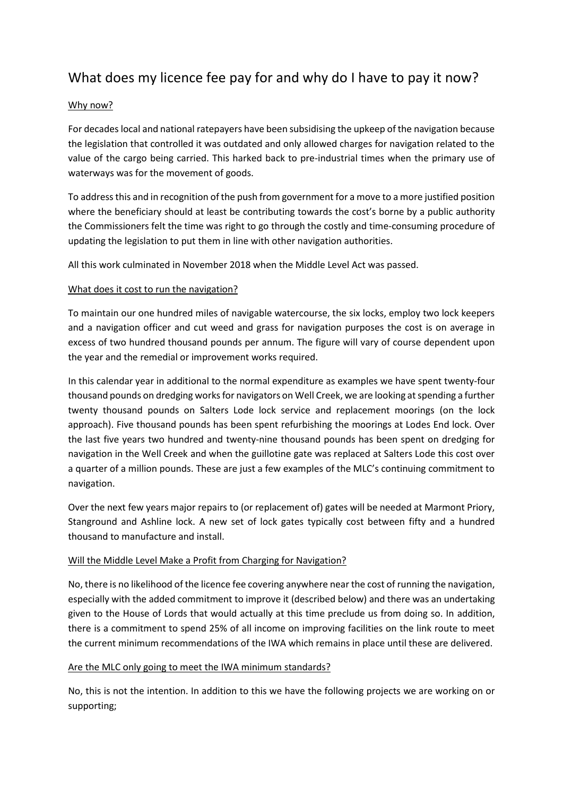# What does my licence fee pay for and why do I have to pay it now?

### Why now?

For decades local and national ratepayers have been subsidising the upkeep of the navigation because the legislation that controlled it was outdated and only allowed charges for navigation related to the value of the cargo being carried. This harked back to pre-industrial times when the primary use of waterways was for the movement of goods.

To address this and in recognition of the push from government for a move to a more justified position where the beneficiary should at least be contributing towards the cost's borne by a public authority the Commissioners felt the time was right to go through the costly and time-consuming procedure of updating the legislation to put them in line with other navigation authorities.

All this work culminated in November 2018 when the Middle Level Act was passed.

### What does it cost to run the navigation?

To maintain our one hundred miles of navigable watercourse, the six locks, employ two lock keepers and a navigation officer and cut weed and grass for navigation purposes the cost is on average in excess of two hundred thousand pounds per annum. The figure will vary of course dependent upon the year and the remedial or improvement works required.

In this calendar year in additional to the normal expenditure as examples we have spent twenty-four thousand pounds on dredging works for navigators on Well Creek, we are looking at spending a further twenty thousand pounds on Salters Lode lock service and replacement moorings (on the lock approach). Five thousand pounds has been spent refurbishing the moorings at Lodes End lock. Over the last five years two hundred and twenty-nine thousand pounds has been spent on dredging for navigation in the Well Creek and when the guillotine gate was replaced at Salters Lode this cost over a quarter of a million pounds. These are just a few examples of the MLC's continuing commitment to navigation.

Over the next few years major repairs to (or replacement of) gates will be needed at Marmont Priory, Stanground and Ashline lock. A new set of lock gates typically cost between fifty and a hundred thousand to manufacture and install.

### Will the Middle Level Make a Profit from Charging for Navigation?

No, there is no likelihood of the licence fee covering anywhere near the cost of running the navigation, especially with the added commitment to improve it (described below) and there was an undertaking given to the House of Lords that would actually at this time preclude us from doing so. In addition, there is a commitment to spend 25% of all income on improving facilities on the link route to meet the current minimum recommendations of the IWA which remains in place until these are delivered.

### Are the MLC only going to meet the IWA minimum standards?

No, this is not the intention. In addition to this we have the following projects we are working on or supporting;